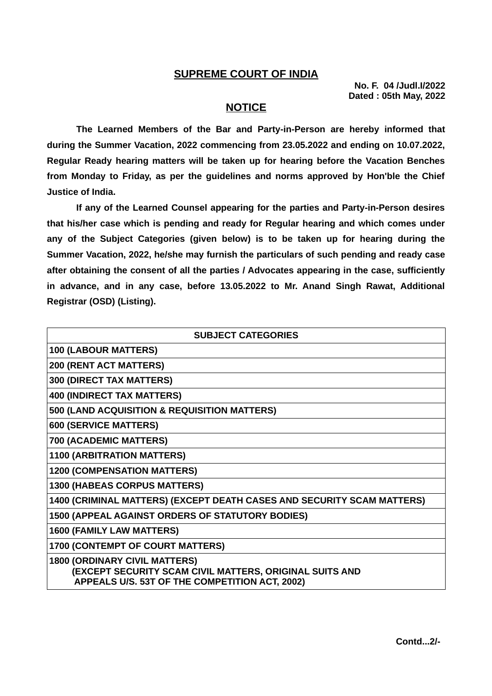## **SUPREME COURT OF INDIA**

**No. F. 04 /Judl.I/2022 Dated : 05th May, 2022**

## **NOTICE**

**The Learned Members of the Bar and Party-in-Person are hereby informed that during the Summer Vacation, 2022 commencing from 23.05.2022 and ending on 10.07.2022, Regular Ready hearing matters will be taken up for hearing before the Vacation Benches from Monday to Friday, as per the guidelines and norms approved by Hon'ble the Chief Justice of India.**

**If any of the Learned Counsel appearing for the parties and Party-in-Person desires that his/her case which is pending and ready for Regular hearing and which comes under any of the Subject Categories (given below) is to be taken up for hearing during the Summer Vacation, 2022, he/she may furnish the particulars of such pending and ready case after obtaining the consent of all the parties / Advocates appearing in the case, sufficiently in advance, and in any case, before 13.05.2022 to Mr. Anand Singh Rawat, Additional Registrar (OSD) (Listing).**

| <b>SUBJECT CATEGORIES</b>                                                                                                                         |
|---------------------------------------------------------------------------------------------------------------------------------------------------|
| <b>100 (LABOUR MATTERS)</b>                                                                                                                       |
| 200 (RENT ACT MATTERS)                                                                                                                            |
| <b>300 (DIRECT TAX MATTERS)</b>                                                                                                                   |
| <b>400 (INDIRECT TAX MATTERS)</b>                                                                                                                 |
| 500 (LAND ACQUISITION & REQUISITION MATTERS)                                                                                                      |
| <b>600 (SERVICE MATTERS)</b>                                                                                                                      |
| 700 (ACADEMIC MATTERS)                                                                                                                            |
| <b>1100 (ARBITRATION MATTERS)</b>                                                                                                                 |
| <b>1200 (COMPENSATION MATTERS)</b>                                                                                                                |
| <b>1300 (HABEAS CORPUS MATTERS)</b>                                                                                                               |
| 1400 (CRIMINAL MATTERS) (EXCEPT DEATH CASES AND SECURITY SCAM MATTERS)                                                                            |
| 1500 (APPEAL AGAINST ORDERS OF STATUTORY BODIES)                                                                                                  |
| <b>1600 (FAMILY LAW MATTERS)</b>                                                                                                                  |
| 1700 (CONTEMPT OF COURT MATTERS)                                                                                                                  |
| <b>1800 (ORDINARY CIVIL MATTERS)</b><br>(EXCEPT SECURITY SCAM CIVIL MATTERS, ORIGINAL SUITS AND<br>APPEALS U/S. 53T OF THE COMPETITION ACT, 2002) |